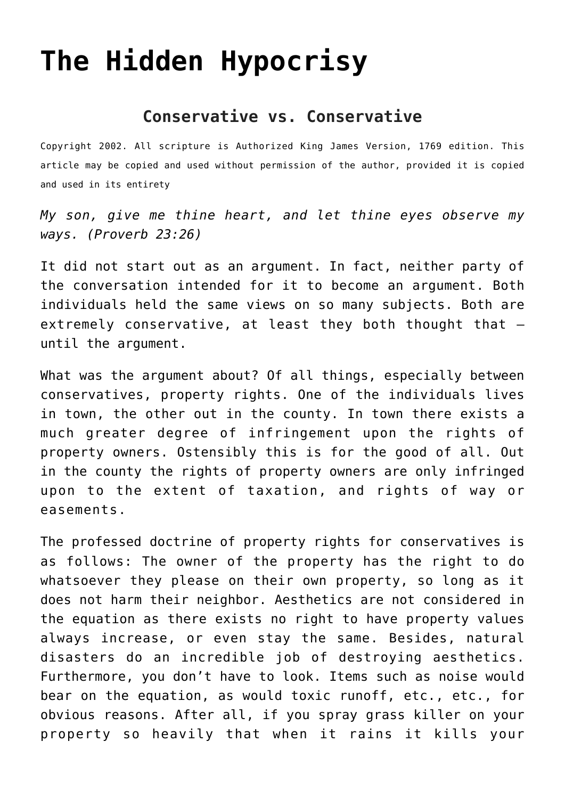## **[The Hidden Hypocrisy](http://reproachofmen.org/spiritualwar/the-hidden-hypocrisy/)**

## **Conservative vs. Conservative**

Copyright 2002. All scripture is Authorized King James Version, 1769 edition. This article may be copied and used without permission of the author, provided it is copied and used in its entirety

*My son, give me thine heart, and let thine eyes observe my ways. (Proverb 23:26)*

It did not start out as an argument. In fact, neither party of the conversation intended for it to become an argument. Both individuals held the same views on so many subjects. Both are extremely conservative, at least they both thought that until the argument.

What was the argument about? Of all things, especially between conservatives, property rights. One of the individuals lives in town, the other out in the county. In town there exists a much greater degree of infringement upon the rights of property owners. Ostensibly this is for the good of all. Out in the county the rights of property owners are only infringed upon to the extent of taxation, and rights of way or easements.

The professed doctrine of property rights for conservatives is as follows: The owner of the property has the right to do whatsoever they please on their own property, so long as it does not harm their neighbor. Aesthetics are not considered in the equation as there exists no right to have property values always increase, or even stay the same. Besides, natural disasters do an incredible job of destroying aesthetics. Furthermore, you don't have to look. Items such as noise would bear on the equation, as would toxic runoff, etc., etc., for obvious reasons. After all, if you spray grass killer on your property so heavily that when it rains it kills your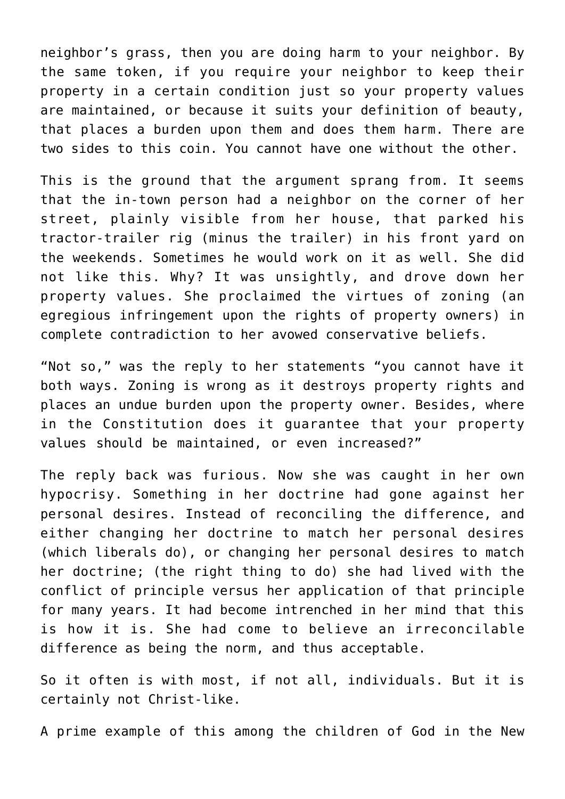neighbor's grass, then you are doing harm to your neighbor. By the same token, if you require your neighbor to keep their property in a certain condition just so your property values are maintained, or because it suits your definition of beauty, that places a burden upon them and does them harm. There are two sides to this coin. You cannot have one without the other.

This is the ground that the argument sprang from. It seems that the in-town person had a neighbor on the corner of her street, plainly visible from her house, that parked his tractor-trailer rig (minus the trailer) in his front yard on the weekends. Sometimes he would work on it as well. She did not like this. Why? It was unsightly, and drove down her property values. She proclaimed the virtues of zoning (an egregious infringement upon the rights of property owners) in complete contradiction to her avowed conservative beliefs.

"Not so," was the reply to her statements "you cannot have it both ways. Zoning is wrong as it destroys property rights and places an undue burden upon the property owner. Besides, where in the Constitution does it guarantee that your property values should be maintained, or even increased?"

The reply back was furious. Now she was caught in her own hypocrisy. Something in her doctrine had gone against her personal desires. Instead of reconciling the difference, and either changing her doctrine to match her personal desires (which liberals do), or changing her personal desires to match her doctrine; (the right thing to do) she had lived with the conflict of principle versus her application of that principle for many years. It had become intrenched in her mind that this is how it is. She had come to believe an irreconcilable difference as being the norm, and thus acceptable.

So it often is with most, if not all, individuals. But it is certainly not Christ-like.

A prime example of this among the children of God in the New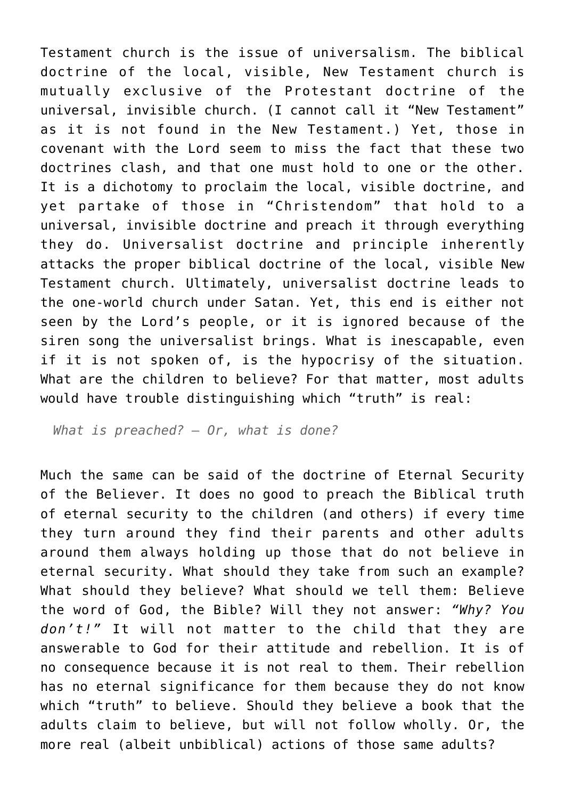Testament church is the issue of universalism. The biblical doctrine of the local, visible, New Testament church is mutually exclusive of the Protestant doctrine of the universal, invisible church. (I cannot call it "New Testament" as it is not found in the New Testament.) Yet, those in covenant with the Lord seem to miss the fact that these two doctrines clash, and that one must hold to one or the other. It is a dichotomy to proclaim the local, visible doctrine, and yet partake of those in "Christendom" that hold to a universal, invisible doctrine and preach it through everything they do. Universalist doctrine and principle inherently attacks the proper biblical doctrine of the local, visible New Testament church. Ultimately, universalist doctrine leads to the one-world church under Satan. Yet, this end is either not seen by the Lord's people, or it is ignored because of the siren song the universalist brings. What is inescapable, even if it is not spoken of, is the hypocrisy of the situation. What are the children to believe? For that matter, most adults would have trouble distinguishing which "truth" is real:

*What is preached? — Or, what is done?*

Much the same can be said of the doctrine of Eternal Security of the Believer. It does no good to preach the Biblical truth of eternal security to the children (and others) if every time they turn around they find their parents and other adults around them always holding up those that do not believe in eternal security. What should they take from such an example? What should they believe? What should we tell them: Believe the word of God, the Bible? Will they not answer: *"Why? You don't!"* It will not matter to the child that they are answerable to God for their attitude and rebellion. It is of no consequence because it is not real to them. Their rebellion has no eternal significance for them because they do not know which "truth" to believe. Should they believe a book that the adults claim to believe, but will not follow wholly. Or, the more real (albeit unbiblical) actions of those same adults?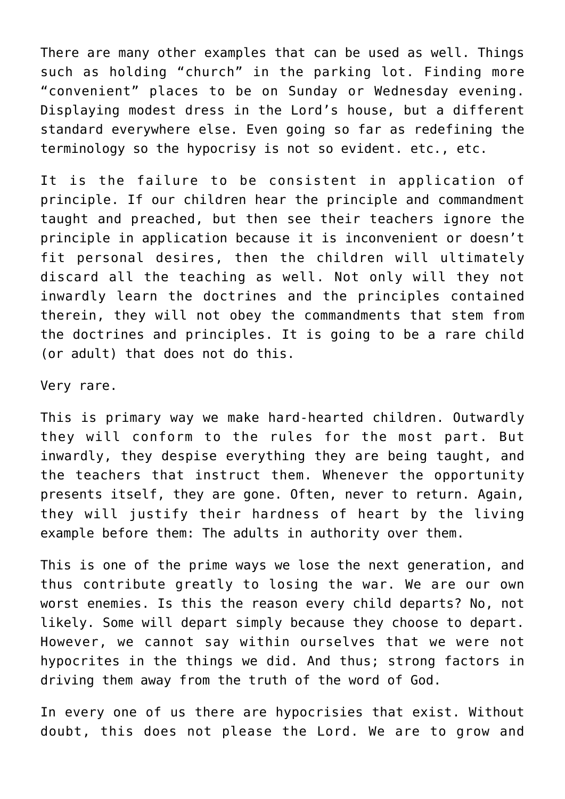There are many other examples that can be used as well. Things such as holding "church" in the parking lot. Finding more "convenient" places to be on Sunday or Wednesday evening. Displaying modest dress in the Lord's house, but a different standard everywhere else. Even going so far as redefining the terminology so the hypocrisy is not so evident. etc., etc.

It is the failure to be consistent in application of principle. If our children hear the principle and commandment taught and preached, but then see their teachers ignore the principle in application because it is inconvenient or doesn't fit personal desires, then the children will ultimately discard all the teaching as well. Not only will they not inwardly learn the doctrines and the principles contained therein, they will not obey the commandments that stem from the doctrines and principles. It is going to be a rare child (or adult) that does not do this.

Very rare.

This is primary way we make hard-hearted children. Outwardly they will conform to the rules for the most part. But inwardly, they despise everything they are being taught, and the teachers that instruct them. Whenever the opportunity presents itself, they are gone. Often, never to return. Again, they will justify their hardness of heart by the living example before them: The adults in authority over them.

This is one of the prime ways we lose the next generation, and thus contribute greatly to losing the war. We are our own worst enemies. Is this the reason every child departs? No, not likely. Some will depart simply because they choose to depart. However, we cannot say within ourselves that we were not hypocrites in the things we did. And thus; strong factors in driving them away from the truth of the word of God.

In every one of us there are hypocrisies that exist. Without doubt, this does not please the Lord. We are to grow and